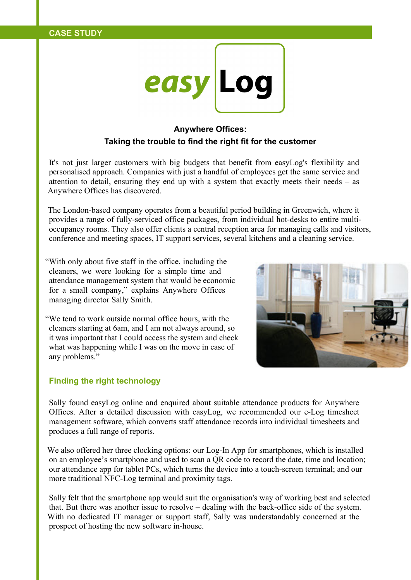

## **Anywhere Offices: Taking the trouble to find the right fit for the customer**

It's not just larger customers with big budgets that benefit from easyLog's flexibility and personalised approach. Companies with just a handful of employees get the same service and attention to detail, ensuring they end up with a system that exactly meets their needs – as Anywhere Offices has discovered.

The London-based company operates from a beautiful period building in Greenwich, where it provides a range of fully-serviced office packages, from individual hot-desks to entire multioccupancy rooms. They also offer clients a central reception area for managing calls and visitors, conference and meeting spaces, IT support services, several kitchens and a cleaning service.

"With only about five staff in the office, including the cleaners, we were looking for a simple time and attendance management system that would be economic for a small company," explains Anywhere Offices managing director Sally Smith.

"We tend to work outside normal office hours, with the cleaners starting at 6am, and I am not always around, so it was important that I could access the system and check what was happening while I was on the move in case of any problems."



## **Finding the right technology**

Sally found easyLog online and enquired about suitable attendance products for Anywhere Offices. After a detailed discussion with easyLog, we recommended our e-Log timesheet management software, which converts staff attendance records into individual timesheets and produces a full range of reports.

We also offered her three clocking options: our Log-In App for smartphones, which is installed on an employee's smartphone and used to scan a QR code to record the date, time and location; our attendance app for tablet PCs, which turns the device into a touch-screen terminal; and our more traditional NFC-Log terminal and proximity tags.

Sally felt that the smartphone app would suit the organisation's way of working best and selected that. But there was another issue to resolve – dealing with the back-office side of the system. With no dedicated IT manager or support staff, Sally was understandably concerned at the prospect of hosting the new software in-house.